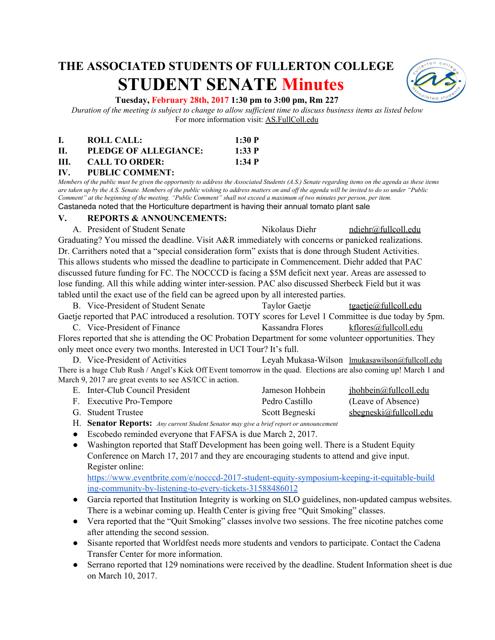# **THE ASSOCIATED STUDENTS OF FULLERTON COLLEGE STUDENT SENATE Minutes**



#### **Tuesday, February 28th, 2017 1:30 pm to 3:00 pm, Rm 227**

*Duration of the meeting is subject to change to allow sufficient time to discuss business items as listed below* For more information visit: AS.FullColl.edu

|    | ROLL CALL:            | 1:30 P |
|----|-----------------------|--------|
| П. | PLEDGE OF ALLEGIANCE: | 1:33 P |
| Ш. | <b>CALL TO ORDER:</b> | 1:34 P |

#### **IV. PUBLIC COMMENT:**

*Members of the public must be given the opportunity to address the Associated Students (A.S.) Senate regarding items on the agenda as these items are taken up by the A.S. Senate. Members of the public wishing to address matters on and off the agenda will be invited to do so under "Public Comment" at the beginning of the meeting. "Public Comment" shall not exceed a maximum of two minutes per person, per item.* Castaneda noted that the Horticulture department is having their annual tomato plant sale

#### **V. REPORTS & ANNOUNCEMENTS:**

A. President of Student Senate Nikolaus Diehr [ndiehr@fullcoll.edu](mailto:ndiehr@fullcoll.edu) Graduating? You missed the deadline. Visit A&R immediately with concerns or panicked realizations. Dr. Carrithers noted that a "special consideration form" exists that is done through Student Activities. This allows students who missed the deadline to participate in Commencement. Diehr added that PAC discussed future funding for FC. The NOCCCD is facing a \$5M deficit next year. Areas are assessed to lose funding. All this while adding winter inter-session. PAC also discussed Sherbeck Field but it was tabled until the exact use of the field can be agreed upon by all interested parties.

B. Vice-President of Student Senate Taylor Gaetje [tgaetje@fullcoll.edu](mailto:tgaetje@fullcoll.edu) Gaetje reported that PAC introduced a resolution. TOTY scores for Level 1 Committee is due today by 5pm. C. Vice-President of Finance Kassandra Flores [kflores@fullcoll.edu](mailto:kflores@fullcoll.edu)

Flores reported that she is attending the OC Probation Department for some volunteer opportunities. They only meet once every two months. Interested in UCI Tour? It's full.

D. Vice-President of Activities Leyah Mukasa-Wilson [lmukasawilson@fullcoll.edu](mailto:lmukasawilson@fullcoll.edu) There is a huge Club Rush / Angel's Kick Off Event tomorrow in the quad. Elections are also coming up! March 1 and March 9, 2017 are great events to see AS/ICC in action.

| E. Inter-Club Council President | Jameson Hohbein | jhohbein@fullcoll.edu     |
|---------------------------------|-----------------|---------------------------|
| F. Executive Pro-Tempore        | Pedro Castillo  | (Leave of Absence)        |
| G. Student Trustee              | Scott Begneski  | $s$ begneski@fullcoll.edu |

- H. **Senator Reports:**  *Any current Student Senator may give a brief report or announcement*
- Escobedo reminded everyone that FAFSA is due March 2, 2017.
- Washington reported that Staff Development has been going well. There is a Student Equity Conference on March 17, 2017 and they are encouraging students to attend and give input. Register online:

[https://www.eventbrite.com/e/nocccd-2017-student-equity-symposium-keeping-it-equitable-build](https://www.eventbrite.com/e/nocccd-2017-student-equity-symposium-keeping-it-equitable-building-community-by-listening-to-every-tickets-31588486012) [ing-community-by-listening-to-every-tickets-31588486012](https://www.eventbrite.com/e/nocccd-2017-student-equity-symposium-keeping-it-equitable-building-community-by-listening-to-every-tickets-31588486012)

- Garcia reported that Institution Integrity is working on SLO guidelines, non-updated campus websites. There is a webinar coming up. Health Center is giving free "Quit Smoking" classes.
- Vera reported that the "Quit Smoking" classes involve two sessions. The free nicotine patches come after attending the second session.
- Sisante reported that Worldfest needs more students and vendors to participate. Contact the Cadena Transfer Center for more information.
- Serrano reported that 129 nominations were received by the deadline. Student Information sheet is due on March 10, 2017.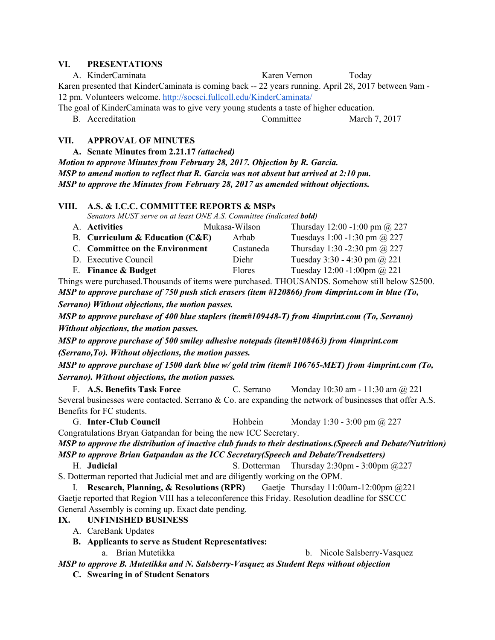#### **VI. PRESENTATIONS**

|                                                                                                      | A. KinderCaminata | Karen Vernon | Today         |  |  |  |  |
|------------------------------------------------------------------------------------------------------|-------------------|--------------|---------------|--|--|--|--|
| Karen presented that KinderCaminata is coming back -- 22 years running. April 28, 2017 between 9am - |                   |              |               |  |  |  |  |
| 12 pm. Volunteers welcome. http://socsci.fullcoll.edu/KinderCaminata/                                |                   |              |               |  |  |  |  |
| The goal of KinderCaminata was to give very young students a taste of higher education.              |                   |              |               |  |  |  |  |
|                                                                                                      | B. Accreditation  | Committee    | March 7, 2017 |  |  |  |  |
| <b>APPROVAL OF MINUTES</b><br>VII.<br>A. Senate Minutes from 2.21.17 (attached)                      |                   |              |               |  |  |  |  |
| Motion to approve Minutes from February 28, 2017. Objection by R. Garcia.                            |                   |              |               |  |  |  |  |

*MSP to amend motion to reflect that R. Garcia was not absent but arrived at 2:10 pm. MSP to approve the Minutes from February 28, 2017 as amended without objections.*

#### **VIII. A.S. & I.C.C. COMMITTEE REPORTS & MSPs**

*Senators MUST serve on at least ONE A.S. Committee (indicated bold)*

| A. Activities                            | Mukasa-Wilson | Thursday 12:00 -1:00 pm $\omega$ 227 |
|------------------------------------------|---------------|--------------------------------------|
| <b>B.</b> Curriculum & Education $(CAE)$ | Arbab         | Tuesdays 1:00 -1:30 pm @ 227         |
| C. Committee on the Environment          | Castaneda     | Thursday 1:30 -2:30 pm $\omega$ 227  |
| D. Executive Council                     | Diehr         | Tuesday 3:30 - 4:30 pm $@221$        |
| E. Finance & Budget                      | <b>Flores</b> | Tuesday 12:00 -1:00pm @ 221          |

Things were purchased.Thousands of items were purchased. THOUSANDS. Somehow still below \$2500. *MSP to approve purchase of 750 push stick erasers (item #120866) from 4imprint.com in blue (To, Serrano) Without objections, the motion passes.*

*MSP to approve purchase of 400 blue staplers (item#109448-T) from 4imprint.com (To, Serrano) Without objections, the motion passes.*

*MSP to approve purchase of 500 smiley adhesive notepads (item#108463) from 4imprint.com (Serrano,To). Without objections, the motion passes.*

*MSP to approve purchase of 1500 dark blue w/ gold trim (item# 106765-MET) from 4imprint.com (To, Serrano). Without objections, the motion passes.*

F. **A.S. Benefits Task Force** C. Serrano Monday 10:30 am - 11:30 am @ 221 Several businesses were contacted. Serrano & Co. are expanding the network of businesses that offer A.S. Benefits for FC students.

G. **Inter-Club Council** Hohbein Monday 1:30 - 3:00 pm @ 227 Congratulations Bryan Gatpandan for being the new ICC Secretary.

*MSP to approve the distribution of inactive club funds to their destinations.(Speech and Debate/Nutrition) MSP to approve Brian Gatpandan as the ICC Secretary(Speech and Debate/Trendsetters)*

H. **Judicial** S. Dotterman Thursday 2:30pm - 3:00pm @227

S. Dotterman reported that Judicial met and are diligently working on the OPM. I. **Research, Planning, & Resolutions (RPR)** Gaetje Thursday 11:00am-12:00pm @221 Gaetje reported that Region VIII has a teleconference this Friday. Resolution deadline for SSCCC General Assembly is coming up. Exact date pending.

**IX. UNFINISHED BUSINESS**

- A. CareBank Updates
- **B. Applicants to serve as Student Representatives:**
	-

a. Brian Mutetikka b. Nicole Salsberry-Vasquez

*MSP to approve B. Mutetikka and N. Salsberry-Vasquez as Student Reps without objection*

**C. Swearing in of Student Senators**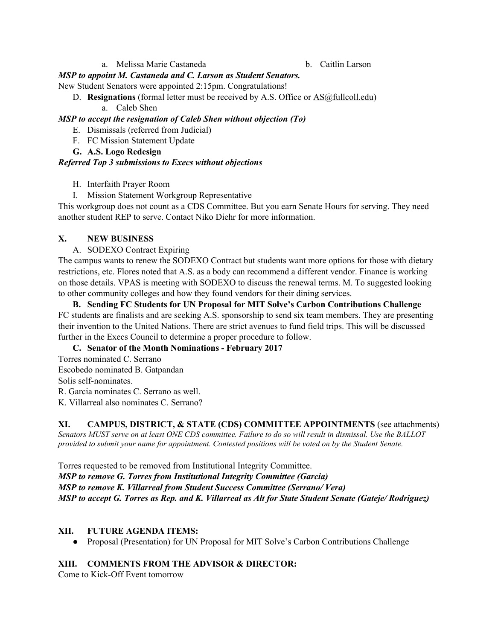a. Melissa Marie Castaneda b. Caitlin Larson

### *MSP to appoint M. Castaneda and C. Larson as Student Senators.*

New Student Senators were appointed 2:15pm. Congratulations!

- D. **Resignations** (formal letter must be received by A.S. Office or **AS**@fullcoll.edu)
	- a. Caleb Shen

## *MSP to accept the resignation of Caleb Shen without objection (To)*

E. Dismissals (referred from Judicial)

- F. FC Mission Statement Update
- **G. A.S. Logo Redesign**

## *Referred Top 3 submissions to Execs without objections*

- H. Interfaith Prayer Room
- I. Mission Statement Workgroup Representative

This workgroup does not count as a CDS Committee. But you earn Senate Hours for serving. They need another student REP to serve. Contact Niko Diehr for more information.

## **X. NEW BUSINESS**

A. SODEXO Contract Expiring

The campus wants to renew the SODEXO Contract but students want more options for those with dietary restrictions, etc. Flores noted that A.S. as a body can recommend a different vendor. Finance is working on those details. VPAS is meeting with SODEXO to discuss the renewal terms. M. To suggested looking to other community colleges and how they found vendors for their dining services.

**B. Sending FC Students for UN Proposal for MIT Solve's Carbon Contributions Challenge** FC students are finalists and are seeking A.S. sponsorship to send six team members. They are presenting their invention to the United Nations. There are strict avenues to fund field trips. This will be discussed further in the Execs Council to determine a proper procedure to follow.

#### **C. Senator of the Month Nominations - February 2017**

Torres nominated C. Serrano Escobedo nominated B. Gatpandan Solis self-nominates.

R. Garcia nominates C. Serrano as well.

K. Villarreal also nominates C. Serrano?

**XI. CAMPUS, DISTRICT, & STATE (CDS) COMMITTEE APPOINTMENTS** ( see attachments) *Senators MUST serve on at least ONE CDS committee. Failure to do so will result in dismissal. Use the BALLOT provided to submit your name for appointment. Contested positions will be voted on by the Student Senate.*

Torres requested to be removed from Institutional Integrity Committee. *MSP to remove G. Torres from Institutional Integrity Committee (Garcia) MSP to remove K. Villarreal from Student Success Committee (Serrano/ Vera) MSP to accept G. Torres as Rep. and K. Villarreal as Alt for State Student Senate (Gateje/ Rodriguez)*

#### **XII. FUTURE AGENDA ITEMS:**

● Proposal (Presentation) for UN Proposal for MIT Solve's Carbon Contributions Challenge

## **XIII. COMMENTS FROM THE ADVISOR & DIRECTOR:**

Come to Kick-Off Event tomorrow